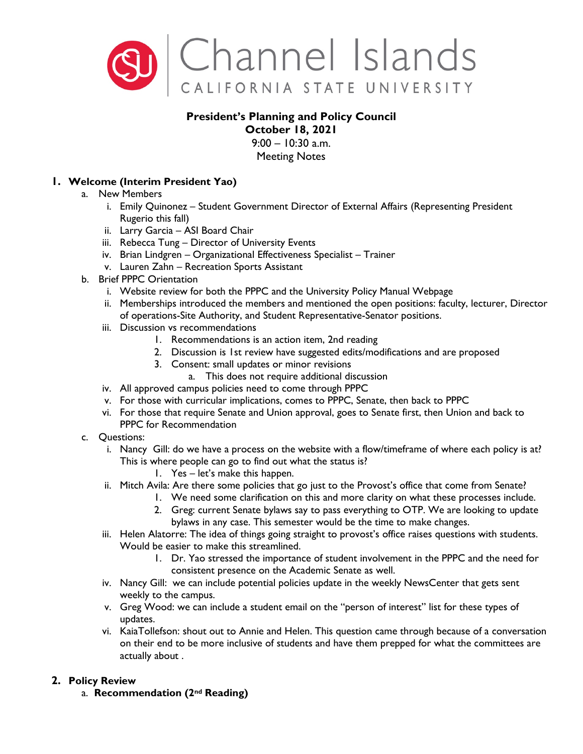

## **President's Planning and Policy Council October 18, 2021**

 $9:00 - 10:30$  a.m. Meeting Notes

## **1. Welcome (Interim President Yao)**

- a. New Members
	- i. Emily Quinonez Student Government Director of External Affairs (Representing President Rugerio this fall)
	- ii. Larry Garcia ASI Board Chair
	- iii. Rebecca Tung Director of University Events
	- iv. Brian Lindgren Organizational Effectiveness Specialist Trainer
	- v. Lauren Zahn Recreation Sports Assistant
- b. Brief PPPC Orientation
	- i. Website review for both the PPPC and the University Policy Manual Webpage
	- ii. Memberships introduced the members and mentioned the open positions: faculty, lecturer, Director of operations-Site Authority, and Student Representative-Senator positions.
	- iii. Discussion vs recommendations
		- 1. Recommendations is an action item, 2nd reading
		- 2. Discussion is 1st review have suggested edits/modifications and are proposed
		- 3. Consent: small updates or minor revisions
		- a. This does not require additional discussion
	- iv. All approved campus policies need to come through PPPC
	- v. For those with curricular implications, comes to PPPC, Senate, then back to PPPC
	- vi. For those that require Senate and Union approval, goes to Senate first, then Union and back to PPPC for Recommendation
- c. Questions:
	- i. Nancy Gill: do we have a process on the website with a flow/timeframe of where each policy is at? This is where people can go to find out what the status is?
		- 1. Yes let's make this happen.
	- ii. Mitch Avila: Are there some policies that go just to the Provost's office that come from Senate?
		- 1. We need some clarification on this and more clarity on what these processes include.
			- 2. Greg: current Senate bylaws say to pass everything to OTP. We are looking to update bylaws in any case. This semester would be the time to make changes.
	- iii. Helen Alatorre: The idea of things going straight to provost's office raises questions with students. Would be easier to make this streamlined.
		- 1. Dr. Yao stressed the importance of student involvement in the PPPC and the need for consistent presence on the Academic Senate as well.
	- iv. Nancy Gill: we can include potential policies update in the weekly NewsCenter that gets sent weekly to the campus.
	- v. Greg Wood: we can include a student email on the "person of interest" list for these types of updates.
	- vi. KaiaTollefson: shout out to Annie and Helen. This question came through because of a conversation on their end to be more inclusive of students and have them prepped for what the committees are actually about .

# **2. Policy Review**

a. **Recommendation (2nd Reading)**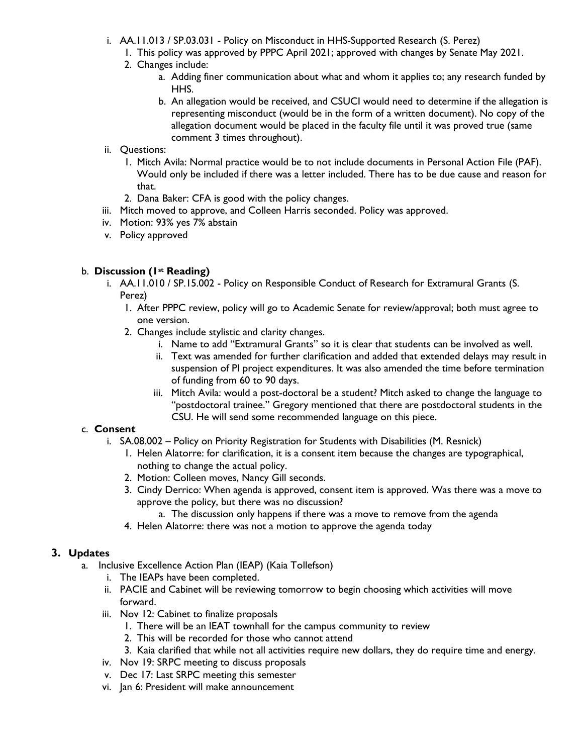- i. AA.11.013 / SP.03.031 Policy on Misconduct in HHS-Supported Research (S. Perez)
	- 1. This policy was approved by PPPC April 2021; approved with changes by Senate May 2021.
	- 2. Changes include:
		- a. Adding finer communication about what and whom it applies to; any research funded by HHS.
		- b. An allegation would be received, and CSUCI would need to determine if the allegation is representing misconduct (would be in the form of a written document). No copy of the allegation document would be placed in the faculty file until it was proved true (same comment 3 times throughout).
- ii. Questions:
	- 1. Mitch Avila: Normal practice would be to not include documents in Personal Action File (PAF). Would only be included if there was a letter included. There has to be due cause and reason for that.
	- 2. Dana Baker: CFA is good with the policy changes.
- iii. Mitch moved to approve, and Colleen Harris seconded. Policy was approved.
- iv. Motion: 93% yes 7% abstain
- v. Policy approved

### b. **Discussion (1st Reading)**

- i. AA.11.010 / SP.15.002 Policy on Responsible Conduct of Research for Extramural Grants (S. Perez)
	- 1. After PPPC review, policy will go to Academic Senate for review/approval; both must agree to one version.
	- 2. Changes include stylistic and clarity changes.
		- i. Name to add "Extramural Grants" so it is clear that students can be involved as well.
		- ii. Text was amended for further clarification and added that extended delays may result in suspension of PI project expenditures. It was also amended the time before termination of funding from 60 to 90 days.
		- iii. Mitch Avila: would a post-doctoral be a student? Mitch asked to change the language to "postdoctoral trainee." Gregory mentioned that there are postdoctoral students in the CSU. He will send some recommended language on this piece.

## c. **Consent**

- i. SA.08.002 Policy on Priority Registration for Students with Disabilities (M. Resnick)
	- 1. Helen Alatorre: for clarification, it is a consent item because the changes are typographical, nothing to change the actual policy.
	- 2. Motion: Colleen moves, Nancy Gill seconds.
	- 3. Cindy Derrico: When agenda is approved, consent item is approved. Was there was a move to approve the policy, but there was no discussion?
		- a. The discussion only happens if there was a move to remove from the agenda
	- 4. Helen Alatorre: there was not a motion to approve the agenda today

## **3. Updates**

- a. Inclusive Excellence Action Plan (IEAP) (Kaia Tollefson)
	- i. The IEAPs have been completed.
	- ii. PACIE and Cabinet will be reviewing tomorrow to begin choosing which activities will move forward.
	- iii. Nov 12: Cabinet to finalize proposals
		- 1. There will be an IEAT townhall for the campus community to review
		- 2. This will be recorded for those who cannot attend
		- 3. Kaia clarified that while not all activities require new dollars, they do require time and energy.
	- iv. Nov 19: SRPC meeting to discuss proposals
	- v. Dec 17: Last SRPC meeting this semester
	- vi. Jan 6: President will make announcement